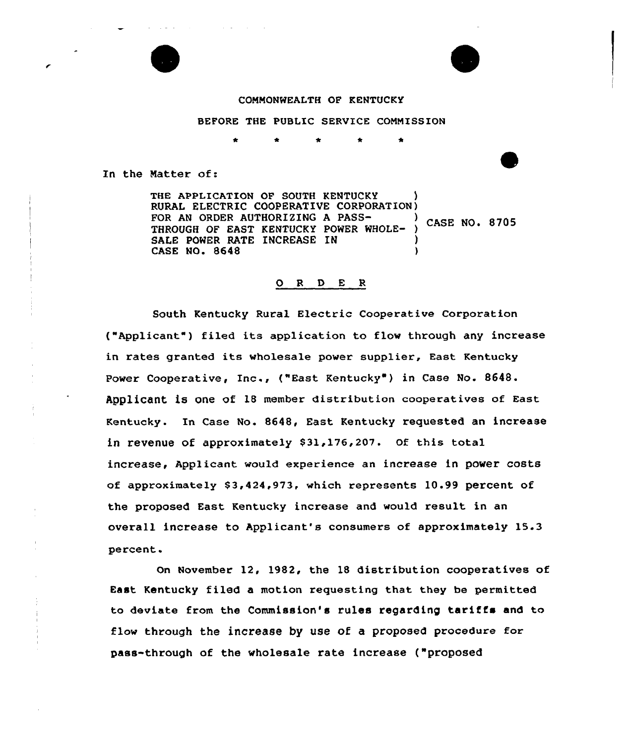



### CONNONWEALTH OF KENTUCKY

BEFORE THE PUBLIC SERVICE CONNISSION

In the Natter of:

THE APPLICATION OF SOUTH KENTUCKY RURAL ELECTRIC COOPERATIVE CORPORATION) FOR AN ORDER AUTHORIZING A PASS-<br>
THE REAL PROPERTY CASE NO. 8705 THROUGH OF EAST KENTUCKY POWER WHOLE-SALE POWER RATE INCREASE IN CASE NO. 8648 )

### 0 <sup>R</sup> <sup>D</sup> E <sup>R</sup>

South Kentucky Rural Electric Cooperative Corporation ("Applicant") filed its application to flow through any increase in rates granted its wholesale power supplier, East Kentucky Power Cooperative, Inc., {"East Kentucky" ) in Case No. 8648. Applicant is one of 18 member distribution cooperatives of East Kentucky. In Case No. 8648, East Kentucky requested an increase in revenue of approximately \$31,176,207. Of this total increase, Applicant would experience an increase in power costs of approximately \$3,424,973, which represents 10.99 percent of the proposed East Kentucky increase and would result in an overall increase to Applicant's consumers of approximately 15.3 percent.

On November 12, 1982, the 18 distribution cooperatives of East Kentucky filed a motion requesting that they be permitted to deviate from the Commission's rules regarding tariffs and to flow through the increase by use of a proposed procedure for pass-through of the wholesale rate increase ("proposed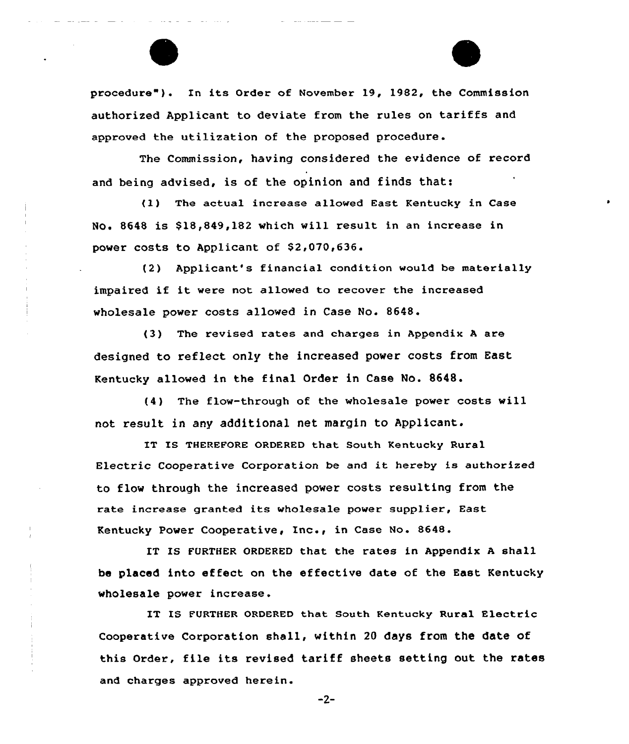procedure"). In its Order of November 19, 1982, the Commission authorized Applicant to deviate from the rules on tariffs and approved the utilization of the proposed procedure.

The Commission, having considered the evidence of record and being advised, is of the opinion and finds that:

(1) The actual increase allowed East Kentucky in Case No. 8648 is \$18,849,182 which will result in an increase in power costs to Applicant of \$2,070,636.

(2) Applicant's financial condition would be materially impaired if it were not allowed to recover the increased wholesale power costs allowed in Case No. 8648.

(3) The revised rates and charges in Appendix <sup>A</sup> are designed to reflect only the increased power costs from East Kentucky allowed in the final Order in Case No. 8648.

(4) The flaw-through of the wholesale power costs will not result in any additional net margin to Applicant.

IT IS THEREFORE ORDERED that South Kentucky Rural Electric Cooperative Corporation be and it hereby is authorized to flow through the increased power costs resulting from the rate increase granted its wholesale power supplier, East Kentucky Power Cooperative, Inc., in Case No. 8648.

IT IS FURTHER ORDERED that the rates in Appendix <sup>A</sup> shall be placed into effect on the effective date of the East Kentucky wholesale power increase.

IT IS FURTHER ORDERED that South Kentucky Rural Electric Cooperative Corporation shall, within 20 days from the date of this Order, file its revised tariff sheets setting out the rates and charges approved herein.

 $-2-$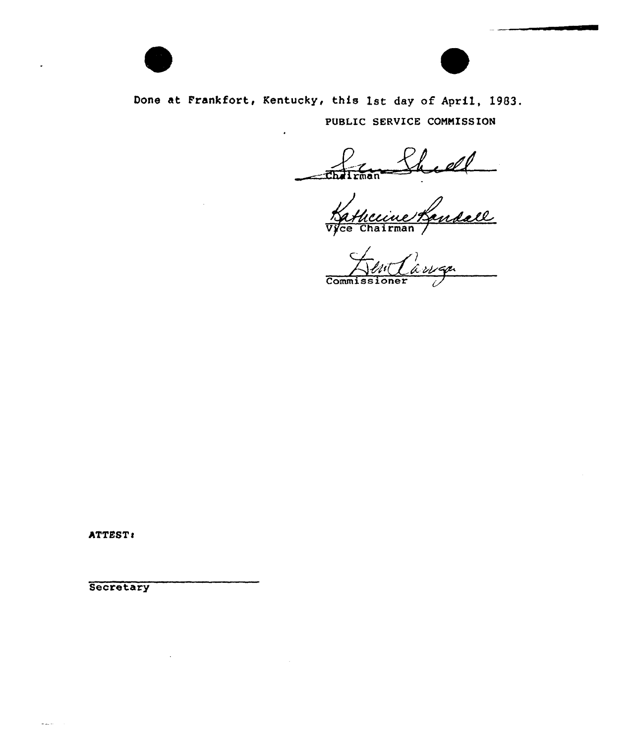

Done at Frankfort, Kentucky, this 1st day of April, 1983. PUBLIC SERUICE CONNISSION

~Mirmsn

 $ln(1)$  a  $n \neq 0$ Commissione

ATTEST:

Secretary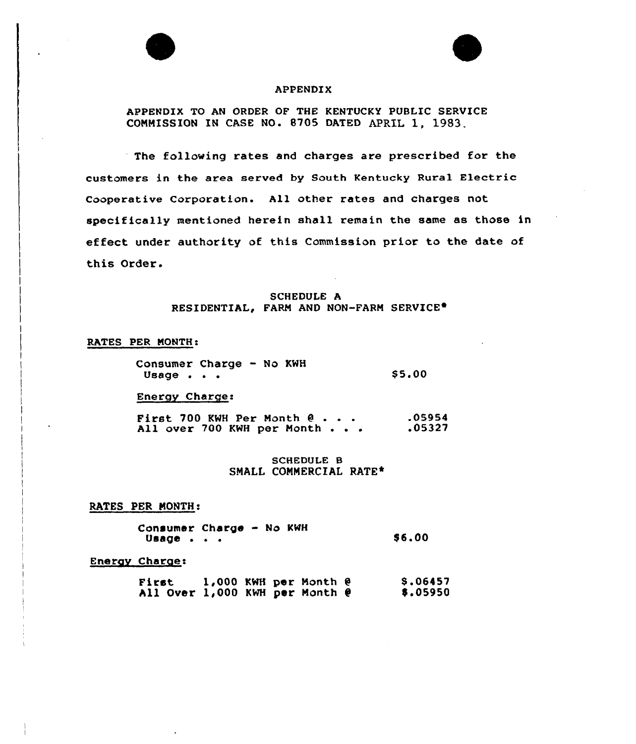

#### APPENDIX

APPENDIX TO AN ORDER OF THE KENTUCKy PUBLIC SERVICE COMMISSION IN CASE NO. 8705 DATED APRIL 1, 1983.

The following rates and charges are prescribed for the customers in the area served by South Kentucky Rural Electric Cooperative Corporation. All other rates and charges not specifically mentioned herein shall remain the same as those in effect under authority of this Commission prior to the date of this Order.

### SCHEDULE A RESIDENTIAL, FARM AND NON-FARM SERVICE<sup>®</sup>

### RATES PER MONTH:

Consumer Charge - No KWH Usage  $\cdot \cdot \cdot$ \$5.00

Energy Charge:

First 700 KWH Per Month  $0 \cdot \cdot \cdot$ All over 700 KWH per Month . . . .05954 .05327

> SCHEDULE B SMALL CONNERCIAL RATE\*

RATES PER MONTH:

Consumer Charge - No KWH  $U$ sage  $\cdot$   $\cdot$   $\cdot$ 

\$ 6.00

F

#### Energy Charge:

First 1,000 KWH per Month @ All Over 1,000 KWH per Month @ S.06457 0.05950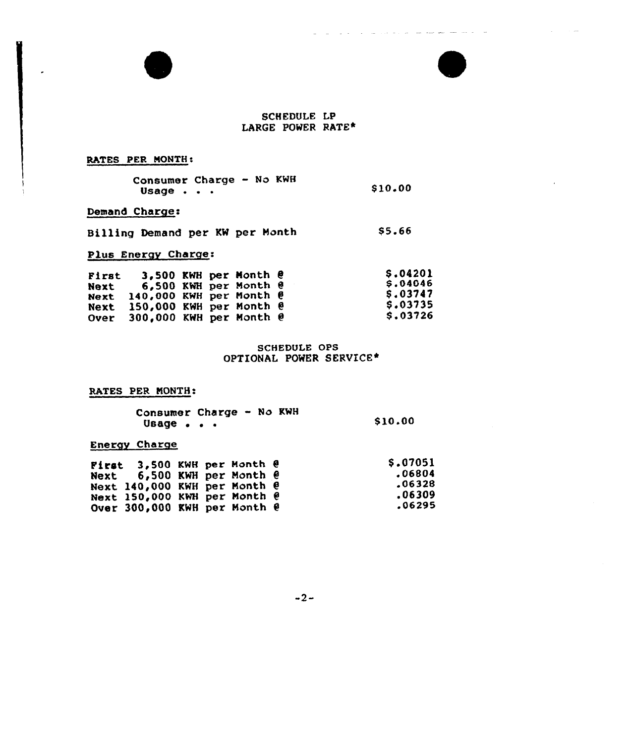# SCHEDULE LP LARGE POWER RATE\*

المراجع والمتراسي تشوابسوا سياري والمرادين

# RATES PER MONTH:

 $\cdot$ 

|       | Consumer Charge - No KWH |         |
|-------|--------------------------|---------|
| Usage |                          | \$10.00 |

# Demand Charge:

| Billing Demand per KW per Month |  |  | \$5.66 |
|---------------------------------|--|--|--------|
|                                 |  |  |        |

# Plus Energy Charge:

| First |                                       |  | 3.500 KWH per Month $e$ | <b>S.04201</b><br>\$.04046 |
|-------|---------------------------------------|--|-------------------------|----------------------------|
| Next  | Next $140,000$ KWH per Month $\theta$ |  | 6,500 KWH per Month @   | S.03747                    |
|       | Next 150,000 KWH per Month @          |  |                         | \$.03735                   |
|       | Over $300,000$ KWH per Month $\theta$ |  |                         | \$.03726                   |

## SCHEDULE OPS OPTIONAL POWER SERVICE\*

# RATES PER MONTH:

| Consumer Charge - No KWH |  |         |
|--------------------------|--|---------|
| Usage                    |  | \$10.00 |

# Energy Charge

| First $3,500$ KWH per Month $\theta$ |  |  | S.07051 |
|--------------------------------------|--|--|---------|
|                                      |  |  |         |
| Next 6,500 KWH per Month @           |  |  | .06804  |
| Next 140,000 KWH per Month @         |  |  | .06328  |
| Next 150,000 KWH per Month @         |  |  | .06309  |
| Over 300,000 KWH per Month @         |  |  | 06295.  |

 $-2-$